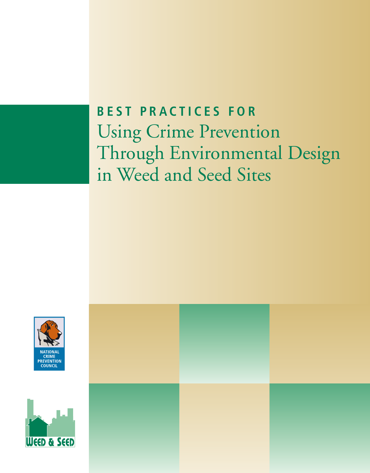# **BEST PRACTICES FOR**  Using Crime Prevention Through Environmental Design in Weed and Seed Sites



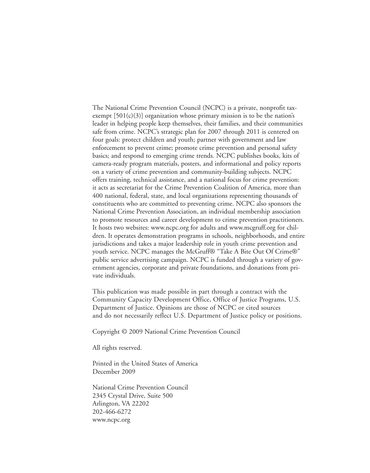The National Crime Prevention Council (NCPC) is a private, nonprofit taxexempt  $[501(c)(3)]$  organization whose primary mission is to be the nation's leader in helping people keep themselves, their families, and their communities safe from crime. NCPC's strategic plan for 2007 through 2011 is centered on four goals: protect children and youth; partner with government and law enforcement to prevent crime; promote crime prevention and personal safety basics; and respond to emerging crime trends. NCPC publishes books, kits of camera-ready program materials, posters, and informational and policy reports on a variety of crime prevention and community-building subjects. NCPC offers training, technical assistance, and a national focus for crime prevention: it acts as secretariat for the Crime Prevention Coalition of America, more than 400 national, federal, state, and local organizations representing thousands of constituents who are committed to preventing crime. NCPC also sponsors the National Crime Prevention Association, an individual membership association to promote resources and career development to crime prevention practitioners. It hosts two websites: www.ncpc.org for adults and www.mcgruff.org for children. It operates demonstration programs in schools, neighborhoods, and entire jurisdictions and takes a major leadership role in youth crime prevention and youth service. NCPC manages the McGruff® "Take A Bite Out Of Crime®" public service advertising campaign. NCPC is funded through a variety of government agencies, corporate and private foundations, and donations from private individuals.

This publication was made possible in part through a contract with the Community Capacity Development Office, Office of Justice Programs, U.S. Department of Justice. Opinions are those of NCPC or cited sources and do not necessarily reflect U.S. Department of Justice policy or positions.

Copyright © 2009 National Crime Prevention Council

All rights reserved.

Printed in the United States of America December 2009

National Crime Prevention Council 2345 Crystal Drive, Suite 500 Arlington, VA 22202 202-466-6272 www.ncpc.org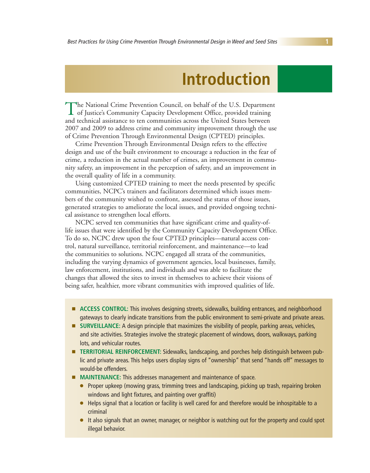## **Introduction**

The National Crime Prevention Council, on behalf of the U.S. Department **1** of Justice's Community Capacity Development Office, provided training and technical assistance to ten communities across the United States between 2007 and 2009 to address crime and community improvement through the use of Crime Prevention Through Environmental Design (CPTED) principles.

Crime Prevention Through Environmental Design refers to the effective design and use of the built environment to encourage a reduction in the fear of crime, a reduction in the actual number of crimes, an improvement in community safety, an improvement in the perception of safety, and an improvement in the overall quality of life in a community.

Using customized CPTED training to meet the needs presented by specific communities, NCPC's trainers and facilitators determined which issues members of the community wished to confront, assessed the status of those issues, generated strategies to ameliorate the local issues, and provided ongoing technical assistance to strengthen local efforts.

NCPC served ten communities that have significant crime and quality-oflife issues that were identified by the Community Capacity Development Office. To do so, NCPC drew upon the four CPTED principles—natural access control, natural surveillance, territorial reinforcement, and maintenance—to lead the communities to solutions. NCPC engaged all strata of the communities, including the varying dynamics of government agencies, local businesses, family, law enforcement, institutions, and individuals and was able to facilitate the changes that allowed the sites to invest in themselves to achieve their visions of being safer, healthier, more vibrant communities with improved qualities of life.

- **E** ACCESS CONTROL: This involves designing streets, sidewalks, building entrances, and neighborhood gateways to clearly indicate transitions from the public environment to semi-private and private areas.
- **SURVEILLANCE:** A design principle that maximizes the visibility of people, parking areas, vehicles, and site activities. Strategies involve the strategic placement of windows, doors, walkways, parking lots, and vehicular routes.
- **TERRITORIAL REINFORCEMENT:** Sidewalks, landscaping, and porches help distinguish between public and private areas. This helps users display signs of "ownership" that send "hands off" messages to would-be offenders.
- **MAINTENANCE:** This addresses management and maintenance of space.
	- Proper upkeep (mowing grass, trimming trees and landscaping, picking up trash, repairing broken windows and light fixtures, and painting over graffiti)
	- Helps signal that a location or facility is well cared for and therefore would be inhospitable to a criminal
	- It also signals that an owner, manager, or neighbor is watching out for the property and could spot illegal behavior.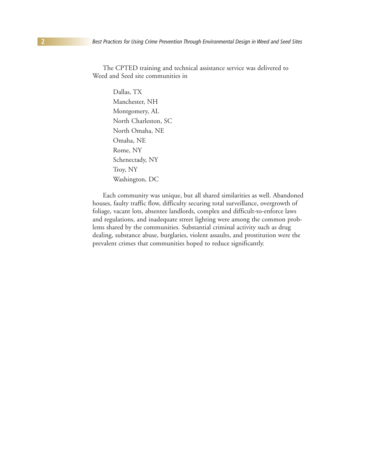The CPTED training and technical assistance service was delivered to Weed and Seed site communities in

> Dallas, TX Manchester, NH Montgomery, AL North Charleston, SC North Omaha, NE Omaha, NE Rome, NY Schenectady, NY Troy, NY Washington, DC

Each community was unique, but all shared similarities as well. Abandoned houses, faulty traffic flow, difficulty securing total surveillance, overgrowth of foliage, vacant lots, absentee landlords, complex and difficult-to-enforce laws and regulations, and inadequate street lighting were among the common problems shared by the communities. Substantial criminal activity such as drug dealing, substance abuse, burglaries, violent assaults, and prostitution were the prevalent crimes that communities hoped to reduce significantly.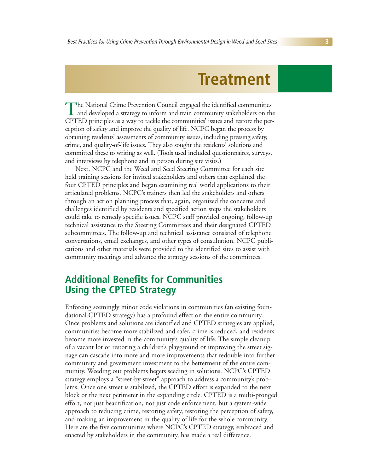## **Treatment**

The National Crime Prevention Council engaged the identified communities<br>and developed a strategy to inform and train community stakeholders on the<br>COTED CPTED principles as a way to tackle the communities' issues and restore the perception of safety and improve the quality of life. NCPC began the process by obtaining residents' assessments of community issues, including pressing safety, crime, and quality-of-life issues. They also sought the residents' solutions and committed these to writing as well. (Tools used included questionnaires, surveys, and interviews by telephone and in person during site visits.)

Next, NCPC and the Weed and Seed Steering Committee for each site held training sessions for invited stakeholders and others that explained the four CPTED principles and began examining real world applications to their articulated problems. NCPC's trainers then led the stakeholders and others through an action planning process that, again, organized the concerns and challenges identified by residents and specified action steps the stakeholders could take to remedy specific issues. NCPC staff provided ongoing, follow-up technical assistance to the Steering Committees and their designated CPTED subcommittees. The follow-up and technical assistance consisted of telephone conversations, email exchanges, and other types of consultation. NCPC publications and other materials were provided to the identified sites to assist with community meetings and advance the strategy sessions of the committees.

## **Additional Benefits for Communities Using the CPTED Strategy**

Enforcing seemingly minor code violations in communities (an existing foundational CPTED strategy) has a profound effect on the entire community. Once problems and solutions are identified and CPTED strategies are applied, communities become more stabilized and safer, crime is reduced, and residents become more invested in the community's quality of life. The simple cleanup of a vacant lot or restoring a children's playground or improving the street signage can cascade into more and more improvements that redouble into further community and government investment to the betterment of the entire community. Weeding out problems begets seeding in solutions. NCPC's CPTED strategy employs a "street-by-street" approach to address a community's problems. Once one street is stabilized, the CPTED effort is expanded to the next block or the next perimeter in the expanding circle. CPTED is a multi-pronged effort, not just beautification, not just code enforcement, but a system-wide approach to reducing crime, restoring safety, restoring the perception of safety, and making an improvement in the quality of life for the whole community. Here are the five communities where NCPC's CPTED strategy, embraced and enacted by stakeholders in the community, has made a real difference.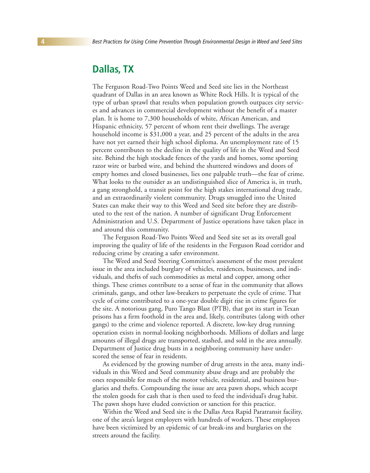### **Dallas, TX**

The Ferguson Road-Two Points Weed and Seed site lies in the Northeast quadrant of Dallas in an area known as White Rock Hills. It is typical of the type of urban sprawl that results when population growth outpaces city services and advances in commercial development without the benefit of a master plan. It is home to 7,300 households of white, African American, and Hispanic ethnicity, 57 percent of whom rent their dwellings. The average household income is \$31,000 a year, and 25 percent of the adults in the area have not yet earned their high school diploma. An unemployment rate of 15 percent contributes to the decline in the quality of life in the Weed and Seed site. Behind the high stockade fences of the yards and homes, some sporting razor wire or barbed wire, and behind the shuttered windows and doors of empty homes and closed businesses, lies one palpable truth—the fear of crime. What looks to the outsider as an undistinguished slice of America is, in truth, a gang stronghold, a transit point for the high stakes international drug trade, and an extraordinarily violent community. Drugs smuggled into the United States can make their way to this Weed and Seed site before they are distributed to the rest of the nation. A number of significant Drug Enforcement Administration and U.S. Department of Justice operations have taken place in and around this community.

The Ferguson Road-Two Points Weed and Seed site set as its overall goal improving the quality of life of the residents in the Ferguson Road corridor and reducing crime by creating a safer environment.

The Weed and Seed Steering Committee's assessment of the most prevalent issue in the area included burglary of vehicles, residences, businesses, and individuals, and thefts of such commodities as metal and copper, among other things. These crimes contribute to a sense of fear in the community that allows criminals, gangs, and other law-breakers to perpetuate the cycle of crime. That cycle of crime contributed to a one-year double digit rise in crime figures for the site. A notorious gang, Puro Tango Blast (PTB), that got its start in Texan prisons has a firm foothold in the area and, likely, contributes (along with other gangs) to the crime and violence reported. A discrete, low-key drug running operation exists in normal-looking neighborhoods. Millions of dollars and large amounts of illegal drugs are transported, stashed, and sold in the area annually. Department of Justice drug busts in a neighboring community have underscored the sense of fear in residents.

As evidenced by the growing number of drug arrests in the area, many individuals in this Weed and Seed community abuse drugs and are probably the ones responsible for much of the motor vehicle, residential, and business burglaries and thefts. Compounding the issue are area pawn shops, which accept the stolen goods for cash that is then used to feed the individual's drug habit. The pawn shops have eluded conviction or sanction for this practice.

Within the Weed and Seed site is the Dallas Area Rapid Paratransit facility, one of the area's largest employers with hundreds of workers. These employees have been victimized by an epidemic of car break-ins and burglaries on the streets around the facility.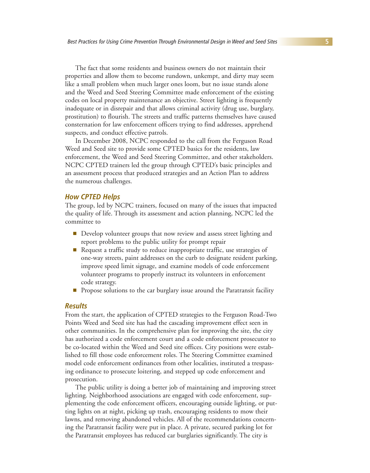The fact that some residents and business owners do not maintain their properties and allow them to become rundown, unkempt, and dirty may seem like a small problem when much larger ones loom, but no issue stands alone and the Weed and Seed Steering Committee made enforcement of the existing codes on local property maintenance an objective. Street lighting is frequently inadequate or in disrepair and that allows criminal activity (drug use, burglary, prostitution) to flourish. The streets and traffic patterns themselves have caused consternation for law enforcement officers trying to find addresses, apprehend suspects, and conduct effective patrols.

In December 2008, NCPC responded to the call from the Ferguson Road Weed and Seed site to provide some CPTED basics for the residents, law enforcement, the Weed and Seed Steering Committee, and other stakeholders. NCPC CPTED trainers led the group through CPTED's basic principles and an assessment process that produced strategies and an Action Plan to address the numerous challenges.

#### **How CPTED Helps**

The group, led by NCPC trainers, focused on many of the issues that impacted the quality of life. Through its assessment and action planning, NCPC led the committee to

- Develop volunteer groups that now review and assess street lighting and report problems to the public utility for prompt repair
- Request a traffic study to reduce inappropriate traffic, use strategies of one-way streets, paint addresses on the curb to designate resident parking, improve speed limit signage, and examine models of code enforcement volunteer programs to properly instruct its volunteers in enforcement code strategy.
- **T** Propose solutions to the car burglary issue around the Paratransit facility

#### **Results**

From the start, the application of CPTED strategies to the Ferguson Road-Two Points Weed and Seed site has had the cascading improvement effect seen in other communities. In the comprehensive plan for improving the site, the city has authorized a code enforcement court and a code enforcement prosecutor to be co-located within the Weed and Seed site offices. City positions were established to fill those code enforcement roles. The Steering Committee examined model code enforcement ordinances from other localities, instituted a trespassing ordinance to prosecute loitering, and stepped up code enforcement and prosecution.

The public utility is doing a better job of maintaining and improving street lighting. Neighborhood associations are engaged with code enforcement, supplementing the code enforcement officers, encouraging outside lighting, or putting lights on at night, picking up trash, encouraging residents to mow their lawns, and removing abandoned vehicles. All of the recommendations concerning the Paratransit facility were put in place. A private, secured parking lot for the Paratransit employees has reduced car burglaries significantly. The city is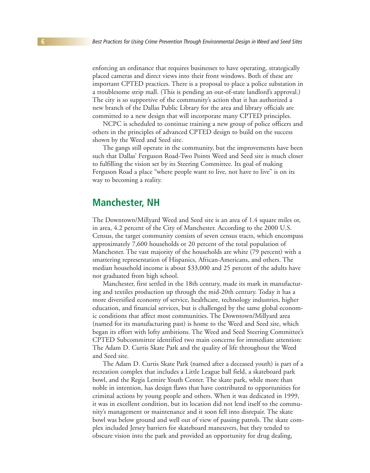enforcing an ordinance that requires businesses to have operating, strategically placed cameras and direct views into their front windows. Both of these are important CPTED practices. There is a proposal to place a police substation in a troublesome strip mall. (This is pending an out-of-state landlord's approval.) The city is so supportive of the community's action that it has authorized a new branch of the Dallas Public Library for the area and library officials are committed to a new design that will incorporate many CPTED principles.

NCPC is scheduled to continue training a new group of police officers and others in the principles of advanced CPTED design to build on the success shown by the Weed and Seed site.

The gangs still operate in the community, but the improvements have been such that Dallas' Ferguson Road-Two Points Weed and Seed site is much closer to fulfilling the vision set by its Steering Committee. Its goal of making Ferguson Road a place "where people want to live, not have to live" is on its way to becoming a reality.

### **Manchester, NH**

The Downtown/Millyard Weed and Seed site is an area of 1.4 square miles or, in area, 4.2 percent of the City of Manchester. According to the 2000 U.S. Census, the target community consists of seven census tracts, which encompass approximately 7,600 households or 20 percent of the total population of Manchester. The vast majority of the households are white (79 percent) with a smattering representation of Hispanics, African-Americans, and others. The median household income is about \$33,000 and 25 percent of the adults have not graduated from high school.

Manchester, first settled in the 18th century, made its mark in manufacturing and textiles production up through the mid-20th century. Today it has a more diversified economy of service, healthcare, technology industries, higher education, and financial services, but is challenged by the same global economic conditions that affect most communities. The Downtown/Millyard area (named for its manufacturing past) is home to the Weed and Seed site, which began its effort with lofty ambitions. The Weed and Seed Steering Committee's CPTED Subcommittee identified two main concerns for immediate attention: The Adam D. Curtis Skate Park and the quality of life throughout the Weed and Seed site.

The Adam D. Curtis Skate Park (named after a deceased youth) is part of a recreation complex that includes a Little League ball field, a skateboard park bowl, and the Regis Lemire Youth Center. The skate park, while more than noble in intention, has design flaws that have contributed to opportunities for criminal actions by young people and others. When it was dedicated in 1999, it was in excellent condition, but its location did not lend itself to the community's management or maintenance and it soon fell into disrepair. The skate bowl was below ground and well out of view of passing patrols. The skate complex included Jersey barriers for skateboard maneuvers, but they tended to obscure vision into the park and provided an opportunity for drug dealing,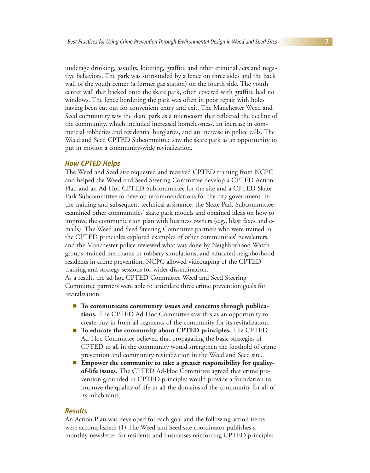underage drinking, assaults, loitering, graffiti, and other criminal acts and negative behaviors. The park was surrounded by a fence on three sides and the back wall of the youth center (a former gas station) on the fourth side. The youth center wall that backed onto the skate park, often covered with graffiti, had no windows. The fence bordering the park was often in poor repair with holes having been cut out for convenient entry and exit. The Manchester Weed and Seed community saw the skate park as a microcosm that reflected the decline of the community, which included increased homelessness, an increase in commercial robberies and residential burglaries, and an increase in police calls. The Weed and Seed CPTED Subcommittee saw the skate park as an opportunity to put in motion a community-wide revitalization.

#### **How CPTED Helps**

The Weed and Seed site requested and received CPTED training from NCPC and helped the Weed and Seed Steering Committee develop a CPTED Action Plan and an Ad-Hoc CPTED Subcommittee for the site and a CPTED Skate Park Subcommittee to develop recommendations for the city government. In the training and subsequent technical assistance, the Skate Park Subcommittee examined other communities' skate park models and obtained ideas on how to improve the communication plan with business owners (e.g., blast faxes and emails). The Weed and Seed Steering Committee partners who were trained in the CPTED principles explored examples of other communities' newsletters, and the Manchester police reviewed what was done by Neighborhood Watch groups, trained merchants in robbery simulations, and educated neighborhood residents in crime prevention. NCPC allowed videotaping of the CPTED training and strategy sessions for wider dissemination.

As a result, the ad hoc CPTED Committee Weed and Seed Steering Committee partners were able to articulate three crime prevention goals for revitalization:

- **To communicate community issues and concerns through publications.** The CPTED Ad-Hoc Committee saw this as an opportunity to create buy-in from all segments of the community for its revitalization.
- **To educate the community about CPTED principles.** The CPTED Ad-Hoc Committee believed that propagating the basic strategies of CPTED to all in the community would strengthen the foothold of crime prevention and community revitalization in the Weed and Seed site.
- **Empower the community to take a greater responsibility for qualityof-life issues.** The CPTED Ad-Hoc Committee agreed that crime prevention grounded in CPTED principles would provide a foundation to improve the quality of life in all the domains of the community for all of its inhabitants.

#### **Results**

An Action Plan was developed for each goal and the following action items were accomplished: (1) The Weed and Seed site coordinator publishes a monthly newsletter for residents and businesses reinforcing CPTED principles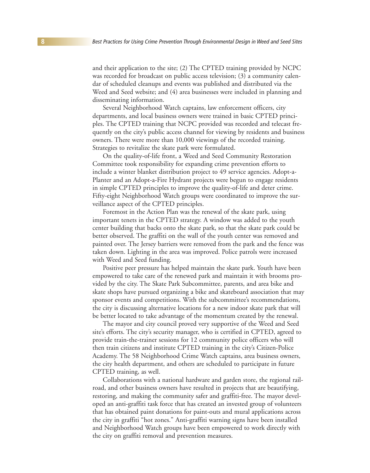and their application to the site; (2) The CPTED training provided by NCPC was recorded for broadcast on public access television; (3) a community calendar of scheduled cleanups and events was published and distributed via the Weed and Seed website; and (4) area businesses were included in planning and disseminating information.

Several Neighborhood Watch captains, law enforcement officers, city departments, and local business owners were trained in basic CPTED principles. The CPTED training that NCPC provided was recorded and telecast frequently on the city's public access channel for viewing by residents and business owners. There were more than 10,000 viewings of the recorded training. Strategies to revitalize the skate park were formulated.

On the quality-of-life front, a Weed and Seed Community Restoration Committee took responsibility for expanding crime prevention efforts to include a winter blanket distribution project to 49 service agencies. Adopt-a-Planter and an Adopt-a-Fire Hydrant projects were begun to engage residents in simple CPTED principles to improve the quality-of-life and deter crime. Fifty-eight Neighborhood Watch groups were coordinated to improve the surveillance aspect of the CPTED principles.

Foremost in the Action Plan was the renewal of the skate park, using important tenets in the CPTED strategy. A window was added to the youth center building that backs onto the skate park, so that the skate park could be better observed. The graffiti on the wall of the youth center was removed and painted over. The Jersey barriers were removed from the park and the fence was taken down. Lighting in the area was improved. Police patrols were increased with Weed and Seed funding.

Positive peer pressure has helped maintain the skate park. Youth have been empowered to take care of the renewed park and maintain it with brooms provided by the city. The Skate Park Subcommittee, parents, and area bike and skate shops have pursued organizing a bike and skateboard association that may sponsor events and competitions. With the subcommittee's recommendations, the city is discussing alternative locations for a new indoor skate park that will be better located to take advantage of the momentum created by the renewal.

The mayor and city council proved very supportive of the Weed and Seed site's efforts. The city's security manager, who is certified in CPTED, agreed to provide train-the-trainer sessions for 12 community police officers who will then train citizens and institute CPTED training in the city's Citizen-Police Academy. The 58 Neighborhood Crime Watch captains, area business owners, the city health department, and others are scheduled to participate in future CPTED training, as well.

Collaborations with a national hardware and garden store, the regional railroad, and other business owners have resulted in projects that are beautifying, restoring, and making the community safer and graffiti-free. The mayor developed an anti-graffiti task force that has created an invested group of volunteers that has obtained paint donations for paint-outs and mural applications across the city in graffiti "hot zones." Anti-graffiti warning signs have been installed and Neighborhood Watch groups have been empowered to work directly with the city on graffiti removal and prevention measures.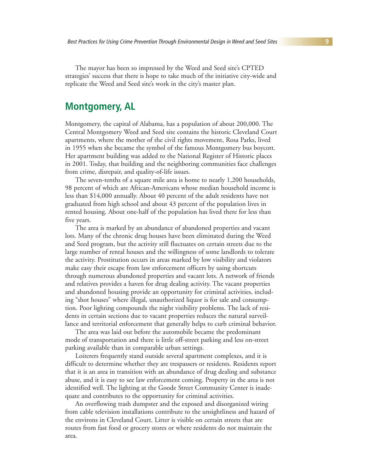The mayor has been so impressed by the Weed and Seed site's CPTED strategies' success that there is hope to take much of the initiative city-wide and replicate the Weed and Seed site's work in the city's master plan.

### **Montgomery, AL**

Montgomery, the capital of Alabama, has a population of about 200,000. The Central Montgomery Weed and Seed site contains the historic Cleveland Court apartments, where the mother of the civil rights movement, Rosa Parks, lived in 1955 when she became the symbol of the famous Montgomery bus boycott. Her apartment building was added to the National Register of Historic places in 2001. Today, that building and the neighboring communities face challenges from crime, disrepair, and quality-of-life issues.

The seven-tenths of a square mile area is home to nearly 1,200 households, 98 percent of which are African-Americans whose median household income is less than \$14,000 annually. About 40 percent of the adult residents have not graduated from high school and about 43 percent of the population lives in rented housing. About one-half of the population has lived there for less than five years.

The area is marked by an abundance of abandoned properties and vacant lots. Many of the chronic drug houses have been eliminated during the Weed and Seed program, but the activity still fluctuates on certain streets due to the large number of rental houses and the willingness of some landlords to tolerate the activity. Prostitution occurs in areas marked by low visibility and violators make easy their escape from law enforcement officers by using shortcuts through numerous abandoned properties and vacant lots. A network of friends and relatives provides a haven for drug dealing activity. The vacant properties and abandoned housing provide an opportunity for criminal activities, including "shot houses" where illegal, unauthorized liquor is for sale and consumption. Poor lighting compounds the night visibility problems. The lack of residents in certain sections due to vacant properties reduces the natural surveillance and territorial enforcement that generally helps to curb criminal behavior.

The area was laid out before the automobile became the predominant mode of transportation and there is little off-street parking and less on-street parking available than in comparable urban settings.

Loiterers frequently stand outside several apartment complexes, and it is difficult to determine whether they are trespassers or residents. Residents report that it is an area in transition with an abundance of drug dealing and substance abuse, and it is easy to see law enforcement coming. Property in the area is not identified well. The lighting at the Goode Street Community Center is inadequate and contributes to the opportunity for criminal activities.

An overflowing trash dumpster and the exposed and disorganized wiring from cable television installations contribute to the unsightliness and hazard of the environs in Cleveland Court. Litter is visible on certain streets that are routes from fast food or grocery stores or where residents do not maintain the area.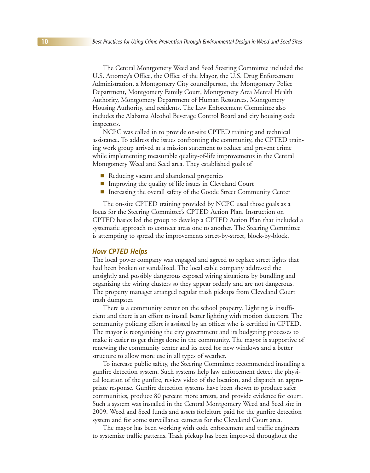The Central Montgomery Weed and Seed Steering Committee included the U.S. Attorney's Office, the Office of the Mayor, the U.S. Drug Enforcement Administration, a Montgomery City councilperson, the Montgomery Police Department, Montgomery Family Court, Montgomery Area Mental Health Authority, Montgomery Department of Human Resources, Montgomery Housing Authority, and residents. The Law Enforcement Committee also includes the Alabama Alcohol Beverage Control Board and city housing code inspectors.

NCPC was called in to provide on-site CPTED training and technical assistance. To address the issues confronting the community, the CPTED training work group arrived at a mission statement to reduce and prevent crime while implementing measurable quality-of-life improvements in the Central Montgomery Weed and Seed area. They established goals of

- **E** Reducing vacant and abandoned properties
- -Improving the quality of life issues in Cleveland Court
- **Increasing the overall safety of the Goode Street Community Center**

The on-site CPTED training provided by NCPC used those goals as a focus for the Steering Committee's CPTED Action Plan. Instruction on CPTED basics led the group to develop a CPTED Action Plan that included a systematic approach to connect areas one to another. The Steering Committee is attempting to spread the improvements street-by-street, block-by-block.

#### **How CPTED Helps**

The local power company was engaged and agreed to replace street lights that had been broken or vandalized. The local cable company addressed the unsightly and possibly dangerous exposed wiring situations by bundling and organizing the wiring clusters so they appear orderly and are not dangerous. The property manager arranged regular trash pickups from Cleveland Court trash dumpster.

There is a community center on the school property. Lighting is insufficient and there is an effort to install better lighting with motion detectors. The community policing effort is assisted by an officer who is certified in CPTED. The mayor is reorganizing the city government and its budgeting processes to make it easier to get things done in the community. The mayor is supportive of renewing the community center and its need for new windows and a better structure to allow more use in all types of weather.

To increase public safety, the Steering Committee recommended installing a gunfire detection system. Such systems help law enforcement detect the physical location of the gunfire, review video of the location, and dispatch an appropriate response. Gunfire detection systems have been shown to produce safer communities, produce 80 percent more arrests, and provide evidence for court. Such a system was installed in the Central Montgomery Weed and Seed site in 2009. Weed and Seed funds and assets forfeiture paid for the gunfire detection system and for some surveillance cameras for the Cleveland Court area.

The mayor has been working with code enforcement and traffic engineers to systemize traffic patterns. Trash pickup has been improved throughout the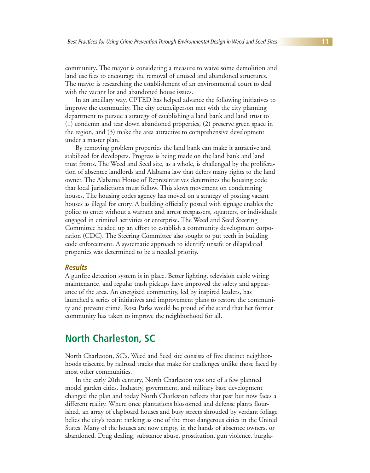community**.** The mayor is considering a measure to waive some demolition and land use fees to encourage the removal of unused and abandoned structures. The mayor is researching the establishment of an environmental court to deal with the vacant lot and abandoned house issues.

In an ancillary way, CPTED has helped advance the following initiatives to improve the community. The city councilperson met with the city planning department to pursue a strategy of establishing a land bank and land trust to (1) condemn and tear down abandoned properties, (2) preserve green space in the region, and (3) make the area attractive to comprehensive development under a master plan.

By removing problem properties the land bank can make it attractive and stabilized for developers. Progress is being made on the land bank and land trust fronts. The Weed and Seed site, as a whole, is challenged by the proliferation of absentee landlords and Alabama law that defers many rights to the land owner. The Alabama House of Representatives determines the housing code that local jurisdictions must follow. This slows movement on condemning houses. The housing codes agency has moved on a strategy of posting vacant houses as illegal for entry. A building officially posted with signage enables the police to enter without a warrant and arrest trespassers, squatters, or individuals engaged in criminal activities or enterprise. The Weed and Seed Steering Committee headed up an effort to establish a community development corporation (CDC). The Steering Committee also sought to put teeth in building code enforcement. A systematic approach to identify unsafe or dilapidated properties was determined to be a needed priority.

#### **Results**

A gunfire detection system is in place. Better lighting, television cable wiring maintenance, and regular trash pickups have improved the safety and appearance of the area. An energized community, led by inspired leaders, has launched a series of initiatives and improvement plans to restore the community and prevent crime. Rosa Parks would be proud of the stand that her former community has taken to improve the neighborhood for all.

## **North Charleston, SC**

North Charleston, SC's, Weed and Seed site consists of five distinct neighborhoods trisected by railroad tracks that make for challenges unlike those faced by most other communities.

In the early 20th century, North Charleston was one of a few planned model garden cities. Industry, government, and military base development changed the plan and today North Charleston reflects that past but now faces a different reality. Where once plantations blossomed and defense plants flourished, an array of clapboard houses and busy streets shrouded by verdant foliage belies the city's recent ranking as one of the most dangerous cities in the United States. Many of the houses are now empty, in the hands of absentee owners, or abandoned. Drug dealing, substance abuse, prostitution, gun violence, burgla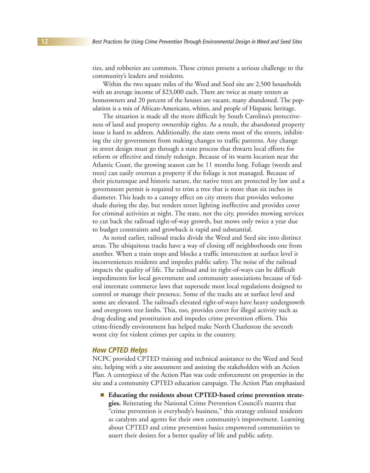ries, and robberies are common. These crimes present a serious challenge to the community's leaders and residents.

Within the two square miles of the Weed and Seed site are 2,500 households with an average income of \$23,000 each. There are twice as many renters as homeowners and 20 percent of the houses are vacant, many abandoned. The population is a mix of African-Americans, whites, and people of Hispanic heritage.

The situation is made all the more difficult by South Carolina's protectiveness of land and property ownership rights. As a result, the abandoned property issue is hard to address. Additionally, the state owns most of the streets, inhibiting the city government from making changes to traffic patterns. Any change in street design must go through a state process that thwarts local efforts for reform or effective and timely redesign. Because of its warm location near the Atlantic Coast, the growing season can be 11 months long. Foliage (weeds and trees) can easily overrun a property if the foliage is not managed. Because of their picturesque and historic nature, the native trees are protected by law and a government permit is required to trim a tree that is more than six inches in diameter. This leads to a canopy effect on city streets that provides welcome shade during the day, but renders street lighting ineffective and provides cover for criminal activities at night. The state, not the city, provides mowing services to cut back the railroad right-of-way growth, but mows only twice a year due to budget constraints and growback is rapid and substantial.

As noted earlier, railroad tracks divide the Weed and Seed site into distinct areas. The ubiquitous tracks have a way of closing off neighborhoods one from another. When a train stops and blocks a traffic intersection at surface level it inconveniences residents and impedes public safety. The noise of the railroad impacts the quality of life. The railroad and its right-of-ways can be difficult impediments for local government and community associations because of federal interstate commerce laws that supersede most local regulations designed to control or manage their presence. Some of the tracks are at surface level and some are elevated. The railroad's elevated right-of-ways have heavy undergrowth and overgrown tree limbs. This, too, provides cover for illegal activity such as drug dealing and prostitution and impedes crime prevention efforts. This crime-friendly environment has helped make North Charleston the seventh worst city for violent crimes per capita in the country.

#### **How CPTED Helps**

NCPC provided CPTED training and technical assistance to the Weed and Seed site, helping with a site assessment and assisting the stakeholders with an Action Plan. A centerpiece of the Action Plan was code enforcement on properties in the site and a community CPTED education campaign. The Action Plan emphasized

**Educating the residents about CPTED-based crime prevention strategies.** Reiterating the National Crime Prevention Council's mantra that "crime prevention is everybody's business," this strategy enlisted residents as catalysts and agents for their own community's improvement. Learning about CPTED and crime prevention basics empowered communities to assert their desires for a better quality of life and public safety.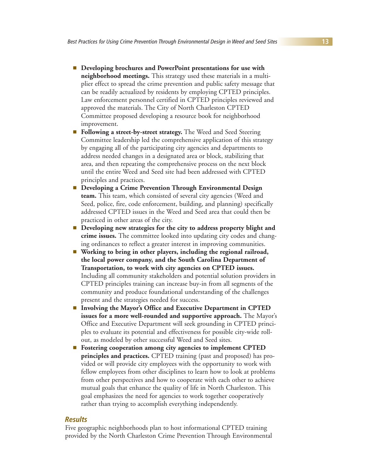- **Example 1 Developing brochures and PowerPoint presentations for use with neighborhood meetings.** This strategy used these materials in a multiplier effect to spread the crime prevention and public safety message that can be readily actualized by residents by employing CPTED principles. Law enforcement personnel certified in CPTED principles reviewed and approved the materials. The City of North Charleston CPTED Committee proposed developing a resource book for neighborhood improvement.
- **Following a street-by-street strategy.** The Weed and Seed Steering Committee leadership led the comprehensive application of this strategy by engaging all of the participating city agencies and departments to address needed changes in a designated area or block, stabilizing that area, and then repeating the comprehensive process on the next block until the entire Weed and Seed site had been addressed with CPTED principles and practices.
- **Example 1 Developing a Crime Prevention Through Environmental Design team.** This team, which consisted of several city agencies (Weed and Seed, police, fire, code enforcement, building, and planning) specifically addressed CPTED issues in the Weed and Seed area that could then be practiced in other areas of the city.
- **n** Developing new strategies for the city to address property blight and **crime issues.** The committee looked into updating city codes and changing ordinances to reflect a greater interest in improving communities.
- **EX** Working to bring in other players, including the regional railroad, **the local power company, and the South Carolina Department of Transportation, to work with city agencies on CPTED issues.** Including all community stakeholders and potential solution providers in CPTED principles training can increase buy-in from all segments of the community and produce foundational understanding of the challenges present and the strategies needed for success.
- - **Involving the Mayor's Office and Executive Department in CPTED issues for a more well-rounded and supportive approach.** The Mayor's Office and Executive Department will seek grounding in CPTED principles to evaluate its potential and effectiveness for possible city-wide rollout, as modeled by other successful Weed and Seed sites.
- **Example 3 Fostering cooperation among city agencies to implement CPTED principles and practices.** CPTED training (past and proposed) has provided or will provide city employees with the opportunity to work with fellow employees from other disciplines to learn how to look at problems from other perspectives and how to cooperate with each other to achieve mutual goals that enhance the quality of life in North Charleston. This goal emphasizes the need for agencies to work together cooperatively rather than trying to accomplish everything independently.

#### **Results**

Five geographic neighborhoods plan to host informational CPTED training provided by the North Charleston Crime Prevention Through Environmental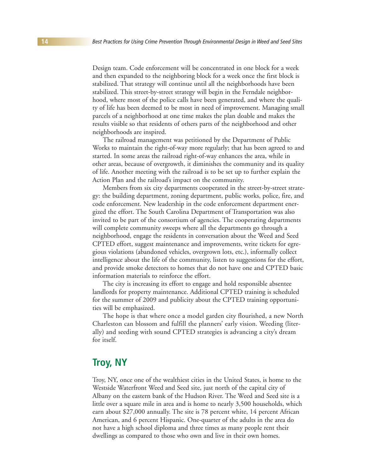Design team. Code enforcement will be concentrated in one block for a week and then expanded to the neighboring block for a week once the first block is stabilized. That strategy will continue until all the neighborhoods have been stabilized. This street-by-street strategy will begin in the Ferndale neighborhood, where most of the police calls have been generated, and where the quality of life has been deemed to be most in need of improvement. Managing small parcels of a neighborhood at one time makes the plan doable and makes the results visible so that residents of others parts of the neighborhood and other neighborhoods are inspired.

The railroad management was petitioned by the Department of Public Works to maintain the right-of-way more regularly; that has been agreed to and started. In some areas the railroad right-of-way enhances the area, while in other areas, because of overgrowth, it diminishes the community and its quality of life. Another meeting with the railroad is to be set up to further explain the Action Plan and the railroad's impact on the community.

Members from six city departments cooperated in the street-by-street strategy: the building department, zoning department, public works, police, fire, and code enforcement. New leadership in the code enforcement department energized the effort. The South Carolina Department of Transportation was also invited to be part of the consortium of agencies. The cooperating departments will complete community sweeps where all the departments go through a neighborhood, engage the residents in conversation about the Weed and Seed CPTED effort, suggest maintenance and improvements, write tickets for egregious violations (abandoned vehicles, overgrown lots, etc.), informally collect intelligence about the life of the community, listen to suggestions for the effort, and provide smoke detectors to homes that do not have one and CPTED basic information materials to reinforce the effort.

The city is increasing its effort to engage and hold responsible absentee landlords for property maintenance. Additional CPTED training is scheduled for the summer of 2009 and publicity about the CPTED training opportunities will be emphasized.

The hope is that where once a model garden city flourished, a new North Charleston can blossom and fulfill the planners' early vision. Weeding (literally) and seeding with sound CPTED strategies is advancing a city's dream for itself.

## **Troy, NY**

Troy, NY, once one of the wealthiest cities in the United States, is home to the Westside Waterfront Weed and Seed site, just north of the capital city of Albany on the eastern bank of the Hudson River. The Weed and Seed site is a little over a square mile in area and is home to nearly 3,500 households, which earn about \$27,000 annually. The site is 78 percent white, 14 percent African American, and 6 percent Hispanic. One-quarter of the adults in the area do not have a high school diploma and three times as many people rent their dwellings as compared to those who own and live in their own homes.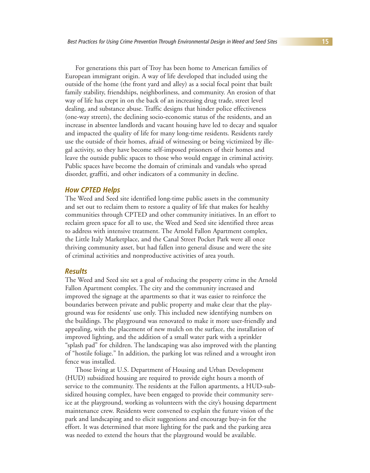For generations this part of Troy has been home to American families of European immigrant origin. A way of life developed that included using the outside of the home (the front yard and alley) as a social focal point that built family stability, friendships, neighborliness, and community. An erosion of that way of life has crept in on the back of an increasing drug trade, street level dealing, and substance abuse. Traffic designs that hinder police effectiveness (one-way streets), the declining socio-economic status of the residents, and an increase in absentee landlords and vacant housing have led to decay and squalor and impacted the quality of life for many long-time residents. Residents rarely use the outside of their homes, afraid of witnessing or being victimized by illegal activity, so they have become self-imposed prisoners of their homes and leave the outside public spaces to those who would engage in criminal activity. Public spaces have become the domain of criminals and vandals who spread disorder, graffiti, and other indicators of a community in decline.

#### **How CPTED Helps**

The Weed and Seed site identified long-time public assets in the community and set out to reclaim them to restore a quality of life that makes for healthy communities through CPTED and other community initiatives. In an effort to reclaim green space for all to use, the Weed and Seed site identified three areas to address with intensive treatment. The Arnold Fallon Apartment complex, the Little Italy Marketplace, and the Canal Street Pocket Park were all once thriving community asset, but had fallen into general disuse and were the site of criminal activities and nonproductive activities of area youth.

#### **Results**

The Weed and Seed site set a goal of reducing the property crime in the Arnold Fallon Apartment complex. The city and the community increased and improved the signage at the apartments so that it was easier to reinforce the boundaries between private and public property and make clear that the playground was for residents' use only. This included new identifying numbers on the buildings. The playground was renovated to make it more user-friendly and appealing, with the placement of new mulch on the surface, the installation of improved lighting, and the addition of a small water park with a sprinkler "splash pad" for children. The landscaping was also improved with the planting of "hostile foliage." In addition, the parking lot was relined and a wrought iron fence was installed.

Those living at U.S. Department of Housing and Urban Development (HUD) subsidized housing are required to provide eight hours a month of service to the community. The residents at the Fallon apartments, a HUD-subsidized housing complex, have been engaged to provide their community service at the playground, working as volunteers with the city's housing department maintenance crew. Residents were convened to explain the future vision of the park and landscaping and to elicit suggestions and encourage buy-in for the effort. It was determined that more lighting for the park and the parking area was needed to extend the hours that the playground would be available.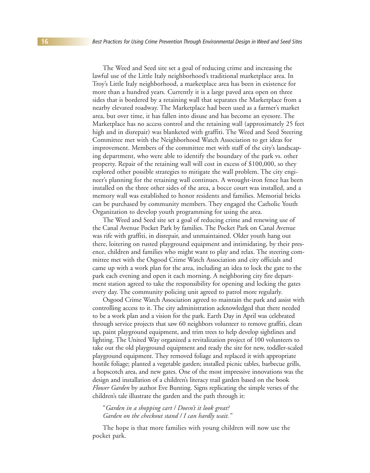The Weed and Seed site set a goal of reducing crime and increasing the lawful use of the Little Italy neighborhood's traditional marketplace area. In Troy's Little Italy neighborhood, a marketplace area has been in existence for more than a hundred years. Currently it is a large paved area open on three sides that is bordered by a retaining wall that separates the Marketplace from a nearby elevated roadway. The Marketplace had been used as a farmer's market area, but over time, it has fallen into disuse and has become an eyesore. The Marketplace has no access control and the retaining wall (approximately 25 feet high and in disrepair) was blanketed with graffiti. The Weed and Seed Steering Committee met with the Neighborhood Watch Association to get ideas for improvement. Members of the committee met with staff of the city's landscaping department, who were able to identify the boundary of the park vs. other property. Repair of the retaining wall will cost in excess of \$100,000, so they explored other possible strategies to mitigate the wall problem. The city engineer's planning for the retaining wall continues. A wrought-iron fence has been installed on the three other sides of the area, a bocce court was installed, and a memory wall was established to honor residents and families. Memorial bricks can be purchased by community members. They engaged the Catholic Youth Organization to develop youth programming for using the area.

The Weed and Seed site set a goal of reducing crime and renewing use of the Canal Avenue Pocket Park by families. The Pocket Park on Canal Avenue was rife with graffiti, in disrepair, and unmaintained. Older youth hang out there, loitering on rusted playground equipment and intimidating, by their presence, children and families who might want to play and relax. The steering committee met with the Osgood Crime Watch Association and city officials and came up with a work plan for the area, including an idea to lock the gate to the park each evening and open it each morning. A neighboring city fire department station agreed to take the responsibility for opening and locking the gates every day. The community policing unit agreed to patrol more regularly.

Osgood Crime Watch Association agreed to maintain the park and assist with controlling access to it. The city administration acknowledged that there needed to be a work plan and a vision for the park. Earth Day in April was celebrated through service projects that saw 60 neighbors volunteer to remove graffiti, clean up, paint playground equipment, and trim trees to help develop sightlines and lighting. The United Way organized a revitalization project of 100 volunteers to take out the old playground equipment and ready the site for new, toddler-scaled playground equipment. They removed foliage and replaced it with appropriate hostile foliage; planted a vegetable garden; installed picnic tables, barbecue grills, a hopscotch area, and new gates. One of the most impressive innovations was the design and installation of a children's literacy trail garden based on the book *Flower Garden* by author Eve Bunting. Signs replicating the simple verses of the children's tale illustrate the garden and the path through it:

#### "*Garden in a shopping cart / Doesn't it look great? Garden on the checkout stand / I can hardly wait."*

The hope is that more families with young children will now use the pocket park.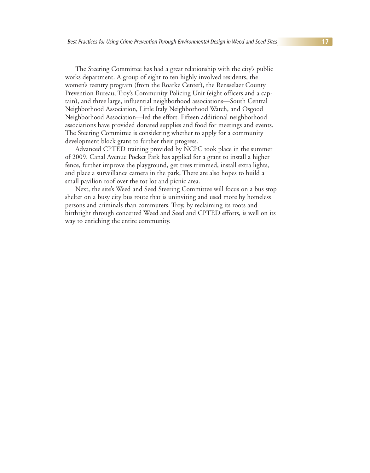The Steering Committee has had a great relationship with the city's public works department. A group of eight to ten highly involved residents, the women's reentry program (from the Roarke Center), the Rensselaer County Prevention Bureau, Troy's Community Policing Unit (eight officers and a captain), and three large, influential neighborhood associations—South Central Neighborhood Association, Little Italy Neighborhood Watch, and Osgood Neighborhood Association—led the effort. Fifteen additional neighborhood associations have provided donated supplies and food for meetings and events. The Steering Committee is considering whether to apply for a community development block grant to further their progress.

Advanced CPTED training provided by NCPC took place in the summer of 2009. Canal Avenue Pocket Park has applied for a grant to install a higher fence, further improve the playground, get trees trimmed, install extra lights, and place a surveillance camera in the park, There are also hopes to build a small pavilion roof over the tot lot and picnic area.

Next, the site's Weed and Seed Steering Committee will focus on a bus stop shelter on a busy city bus route that is uninviting and used more by homeless persons and criminals than commuters. Troy, by reclaiming its roots and birthright through concerted Weed and Seed and CPTED efforts, is well on its way to enriching the entire community.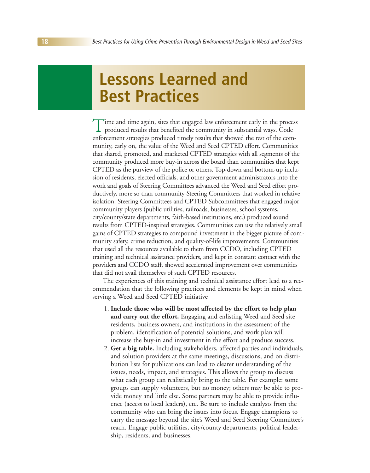## **Lessons Learned and Best Practices**

Time and time again, sites that engaged law enforcement early in the process<br>produced results that benefited the community in substantial ways. Code enforcement strategies produced timely results that showed the rest of the community, early on, the value of the Weed and Seed CPTED effort. Communities that shared, promoted, and marketed CPTED strategies with all segments of the community produced more buy-in across the board than communities that kept CPTED as the purview of the police or others. Top-down and bottom-up inclusion of residents, elected officials, and other government administrators into the work and goals of Steering Committees advanced the Weed and Seed effort productively, more so than community Steering Committees that worked in relative isolation. Steering Committees and CPTED Subcommittees that engaged major community players (public utilities, railroads, businesses, school systems, city/county/state departments, faith-based institutions, etc.) produced sound results from CPTED-inspired strategies. Communities can use the relatively small gains of CPTED strategies to compound investment in the bigger picture of community safety, crime reduction, and quality-of-life improvements. Communities that used all the resources available to them from CCDO, including CPTED training and technical assistance providers, and kept in constant contact with the providers and CCDO staff, showed accelerated improvement over communities that did not avail themselves of such CPTED resources.

The experiences of this training and technical assistance effort lead to a recommendation that the following practices and elements be kept in mind when serving a Weed and Seed CPTED initiative

- 1. **Include those who will be most affected by the effort to help plan and carry out the effort.** Engaging and enlisting Weed and Seed site residents, business owners, and institutions in the assessment of the problem, identification of potential solutions, and work plan will increase the buy-in and investment in the effort and produce success.
- 2. **Get a big table.** Including stakeholders, affected parties and individuals, and solution providers at the same meetings, discussions, and on distribution lists for publications can lead to clearer understanding of the issues, needs, impact, and strategies. This allows the group to discuss what each group can realistically bring to the table. For example: some groups can supply volunteers, but no money; others may be able to provide money and little else. Some partners may be able to provide influence (access to local leaders), etc. Be sure to include catalysts from the community who can bring the issues into focus. Engage champions to carry the message beyond the site's Weed and Seed Steering Committee's reach. Engage public utilities, city/county departments, political leadership, residents, and businesses.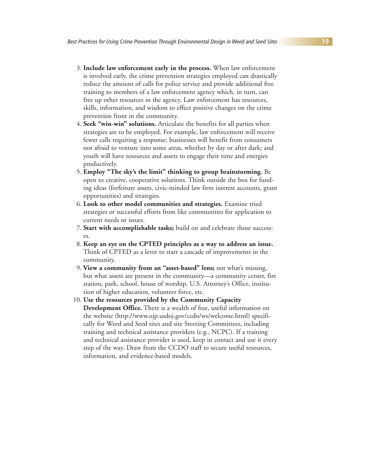- 3. **Include law enforcement early in the process.** When law enforcement is involved early, the crime prevention strategies employed can drastically reduce the amount of calls for police service and provide additional free training to members of a law enforcement agency which, in turn, can free up other resources in the agency. Law enforcement has resources, skills, information, and wisdom to effect positive changes on the crime prevention front in the community.
- 4. **Seek "win-win" solutions.** Articulate the benefits for all parties when strategies are to be employed. For example, law enforcement will receive fewer calls requiring a response; businesses will benefit from consumers not afraid to venture into some areas, whether by day or after dark; and youth will have resources and assets to engage their time and energies productively.
- 5. **Employ "The sky's the limit" thinking to group brainstorming.** Be open to creative, cooperative solutions. Think outside the box for funding ideas (forfeiture assets, civic-minded law firm interest accounts, grant opportunities) and strategies.
- 6. **Look to other model communities and strategies.** Examine tried strategies or successful efforts from like communities for application to current needs or issues.
- 7. **Start with accomplishable tasks;** build on and celebrate those successes.
- 8. **Keep an eye on the CPTED principles as a way to address an issue.** Think of CPTED as a lever to start a cascade of improvements in the community.
- 9. **View a community from an "asset-based" lens;** not what's missing, but what assets are present in the community—a community center, fire station, park, school, house of worship, U.S. Attorney's Office, institution of higher education, volunteer force, etc.
- 10. **Use the resources provided by the Community Capacity Development Office.** There is a wealth of free, useful information on the website (http://www.ojp.usdoj.gov/ccdo/ws/welcome.html) specifically for Weed and Seed sites and site Steering Committees, including training and technical assistance providers (e.g., NCPC). If a training and technical assistance provider is used, keep in contact and use it every step of the way. Draw from the CCDO staff to secure useful resources, information, and evidence-based models.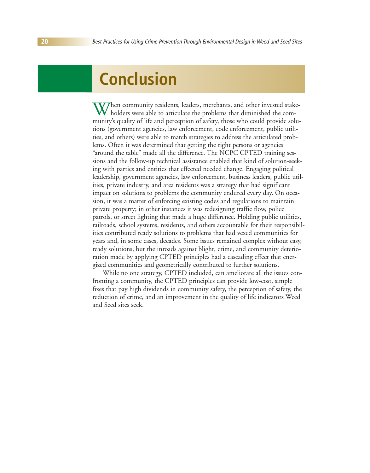## **Conclusion**

When community residents, leaders, merchants, and other invested stakeholders were able to articulate the problems that diminished the community's quality of life and perception of safety, those who could provide solutions (government agencies, law enforcement, code enforcement, public utilities, and others) were able to match strategies to address the articulated problems. Often it was determined that getting the right persons or agencies "around the table" made all the difference. The NCPC CPTED training sessions and the follow-up technical assistance enabled that kind of solution-seeking with parties and entities that effected needed change. Engaging political leadership, government agencies, law enforcement, business leaders, public utilities, private industry, and area residents was a strategy that had significant impact on solutions to problems the community endured every day. On occasion, it was a matter of enforcing existing codes and regulations to maintain private property; in other instances it was redesigning traffic flow, police patrols, or street lighting that made a huge difference. Holding public utilities, railroads, school systems, residents, and others accountable for their responsibilities contributed ready solutions to problems that had vexed communities for years and, in some cases, decades. Some issues remained complex without easy, ready solutions, but the inroads against blight, crime, and community deterioration made by applying CPTED principles had a cascading effect that energized communities and geometrically contributed to further solutions.

While no one strategy, CPTED included, can ameliorate all the issues confronting a community, the CPTED principles can provide low-cost, simple fixes that pay high dividends in community safety, the perception of safety, the reduction of crime, and an improvement in the quality of life indicators Weed and Seed sites seek.